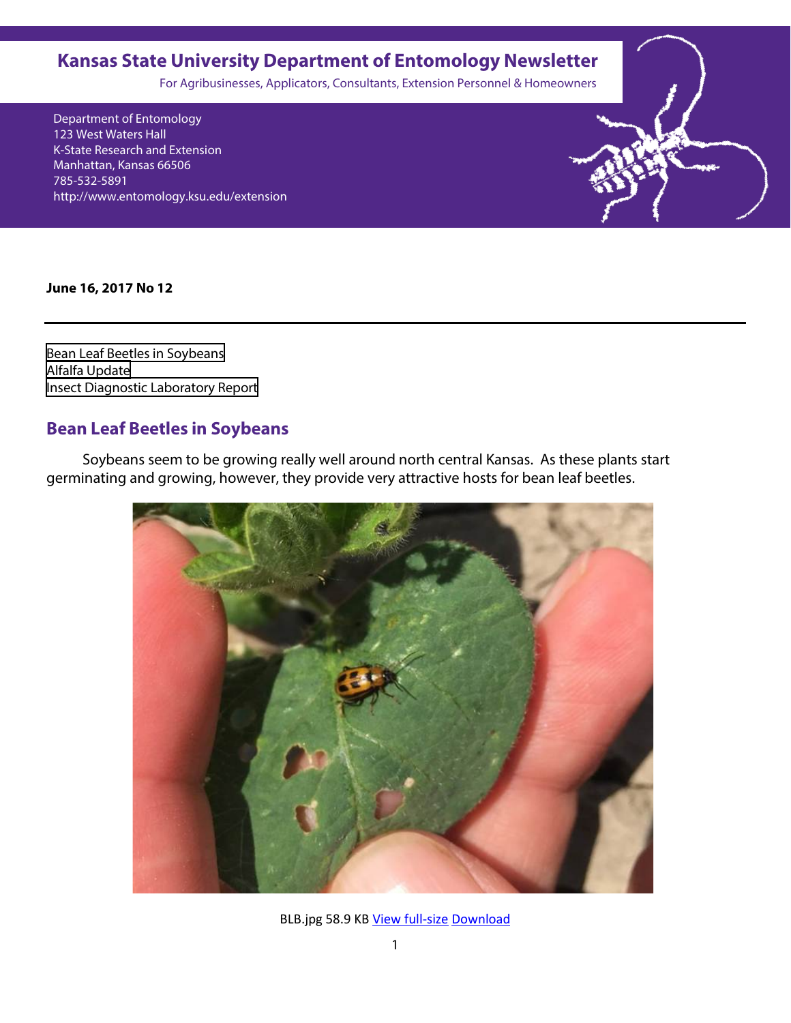## <span id="page-0-0"></span>**Kansas State University Department of Entomology Newsletter**

For Agribusinesses, Applicators, Consultants, Extension Personnel & Homeowners

Department of Entomology 123 West Waters Hall K-State Research and Extension Manhattan, Kansas 66506 785-532-5891 http://www.entomology.ksu.edu/extension

**June 16, 2017 No 12**

Bean Leaf Beetles in Soybeans [Alfalfa Update](#page-2-0)  Insect [Diagnostic Laboratory Report](#page-5-0)

#### **Bean Leaf Beetles in Soybeans**

 Soybeans seem to be growing really well around north central Kansas. As these plants start germinating and growing, however, they provide very attractive hosts for bean leaf beetles.



BLB.jpg 58.9 KB [View full-size](https://3.basecamp.com/3209262/blobs/e7aca7dfce34431de1105734bda2def80010/download/BLB.jpg) [Download](https://3.basecamp.com/3209262/blobs/e7aca7dfce34431de1105734bda2def80010/download/BLB.jpg?attachment=true)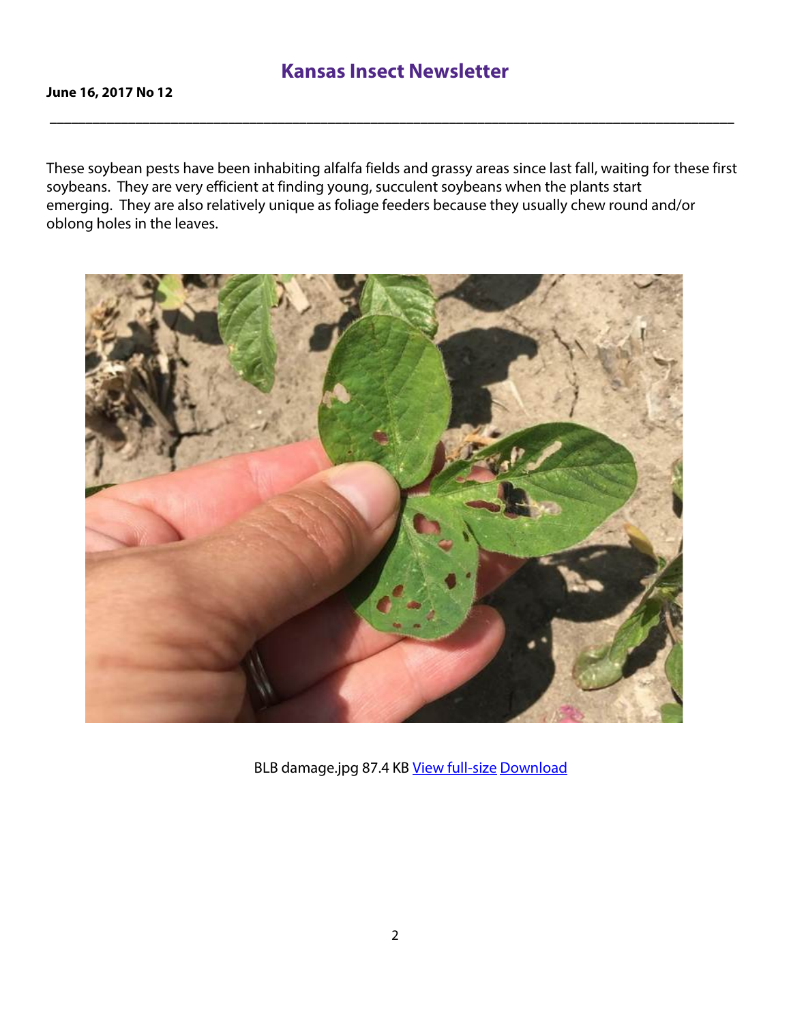**\_\_\_\_\_\_\_\_\_\_\_\_\_\_\_\_\_\_\_\_\_\_\_\_\_\_\_\_\_\_\_\_\_\_\_\_\_\_\_\_\_\_\_\_\_\_\_\_\_\_\_\_\_\_\_\_\_\_\_\_\_\_\_\_\_\_\_\_\_\_\_\_\_\_\_\_\_\_\_\_\_\_\_\_\_\_\_\_\_\_\_\_\_\_\_\_**

These soybean pests have been inhabiting alfalfa fields and grassy areas since last fall, waiting for these first soybeans. They are very efficient at finding young, succulent soybeans when the plants start emerging. They are also relatively unique as foliage feeders because they usually chew round and/or oblong holes in the leaves.



[B](https://3.basecamp.com/3209262/blobs/a7acabec201686119892c0305dbdd4100010/download/BLB%20damage.jpg)LB damage.jpg 87.4 KB [View full-size](https://3.basecamp.com/3209262/blobs/a7acabec201686119892c0305dbdd4100010/download/BLB%20damage.jpg) [Download](https://3.basecamp.com/3209262/blobs/a7acabec201686119892c0305dbdd4100010/download/BLB%20damage.jpg?attachment=true)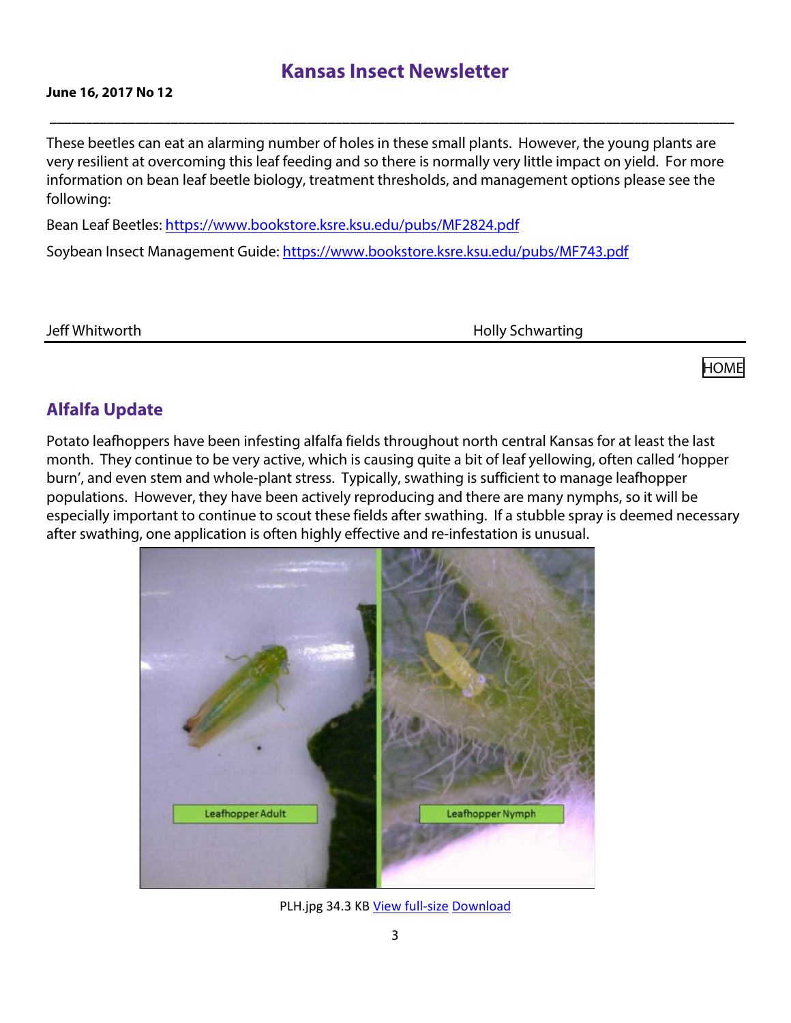**\_\_\_\_\_\_\_\_\_\_\_\_\_\_\_\_\_\_\_\_\_\_\_\_\_\_\_\_\_\_\_\_\_\_\_\_\_\_\_\_\_\_\_\_\_\_\_\_\_\_\_\_\_\_\_\_\_\_\_\_\_\_\_\_\_\_\_\_\_\_\_\_\_\_\_\_\_\_\_\_\_\_\_\_\_\_\_\_\_\_\_\_\_\_\_\_**

#### <span id="page-2-0"></span>**June 16, 2017 No 12**

These beetles can eat an alarming number of holes in these small plants. However, the young plants are very resilient at overcoming this leaf feeding and so there is normally very little impact on yield. For more information on bean leaf beetle biology, treatment thresholds, and management options please see the following:

Bean Leaf Beetles:<https://www.bookstore.ksre.ksu.edu/pubs/MF2824.pdf> Soybean Insect Management Guide:<https://www.bookstore.ksre.ksu.edu/pubs/MF743.pdf>

Jeff Whitworth **Holly Schwarting** 

[HOME](#page-0-0)

### **Alfalfa Update**

Potato leafhoppers have been infesting alfalfa fields throughout north central Kansas for at least the last month. They continue to be very active, which is causing quite a bit of leaf yellowing, often called 'hopper burn', and even stem and whole-plant stress. Typically, swathing is sufficient to manage leafhopper populations. However, they have been actively reproducing and there are many nymphs, so it will be especially important to continue to scout these fields after swathing. If a stubble spray is deemed necessary after swathing, one application is often highly effective and re-infestation is unusual.



PLH.jpg 34.3 KB [View full-size](https://3.basecamp.com/3209262/blobs/02575065cfad1c338ff37a1205455a750010/download/PLH.jpg) [Download](https://3.basecamp.com/3209262/blobs/02575065cfad1c338ff37a1205455a750010/download/PLH.jpg?attachment=true)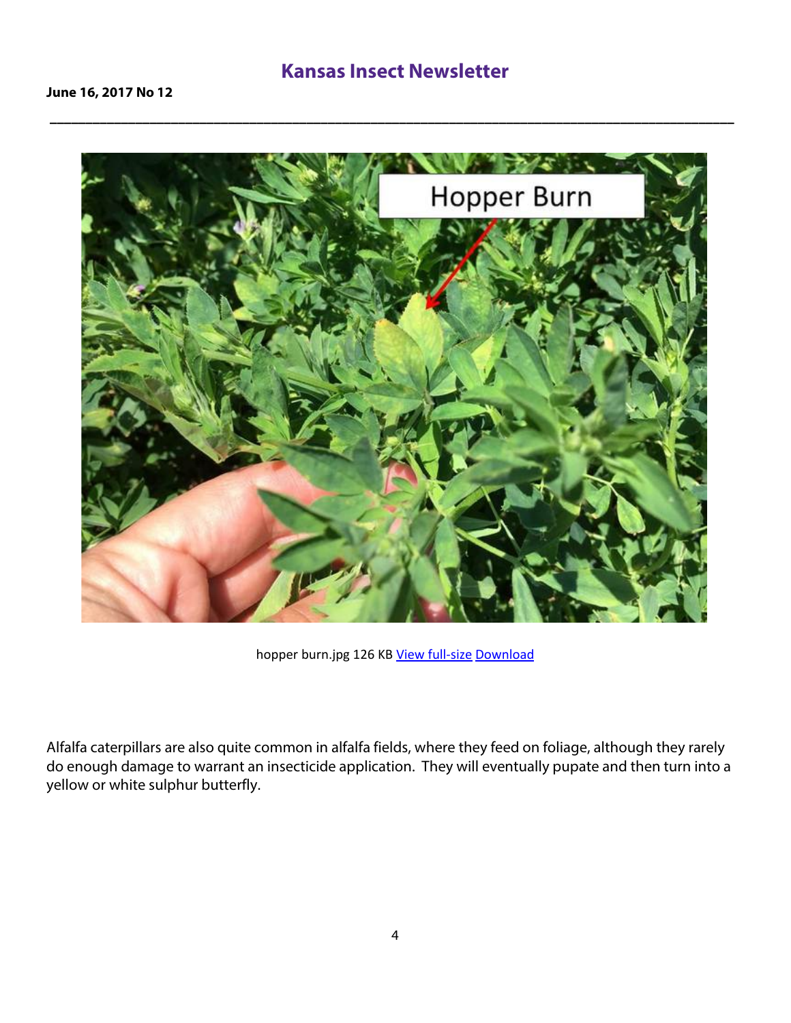**\_\_\_\_\_\_\_\_\_\_\_\_\_\_\_\_\_\_\_\_\_\_\_\_\_\_\_\_\_\_\_\_\_\_\_\_\_\_\_\_\_\_\_\_\_\_\_\_\_\_\_\_\_\_\_\_\_\_\_\_\_\_\_\_\_\_\_\_\_\_\_\_\_\_\_\_\_\_\_\_\_\_\_\_\_\_\_\_\_\_\_\_\_\_\_\_**



hopper burn.jpg 126 KB [View full-size](https://3.basecamp.com/3209262/blobs/2d02085ec845acf66795a3c43144ff930010/download/hopper%20burn.jpg) [Download](https://3.basecamp.com/3209262/blobs/2d02085ec845acf66795a3c43144ff930010/download/hopper%20burn.jpg?attachment=true)

Alfalfa caterpillars are also quite common in alfalfa fields, where they feed on foliage, although they rarely do enough damage to warrant an insecticide application. They will eventually pupate and then turn into a yellow or white sulphur butterfly.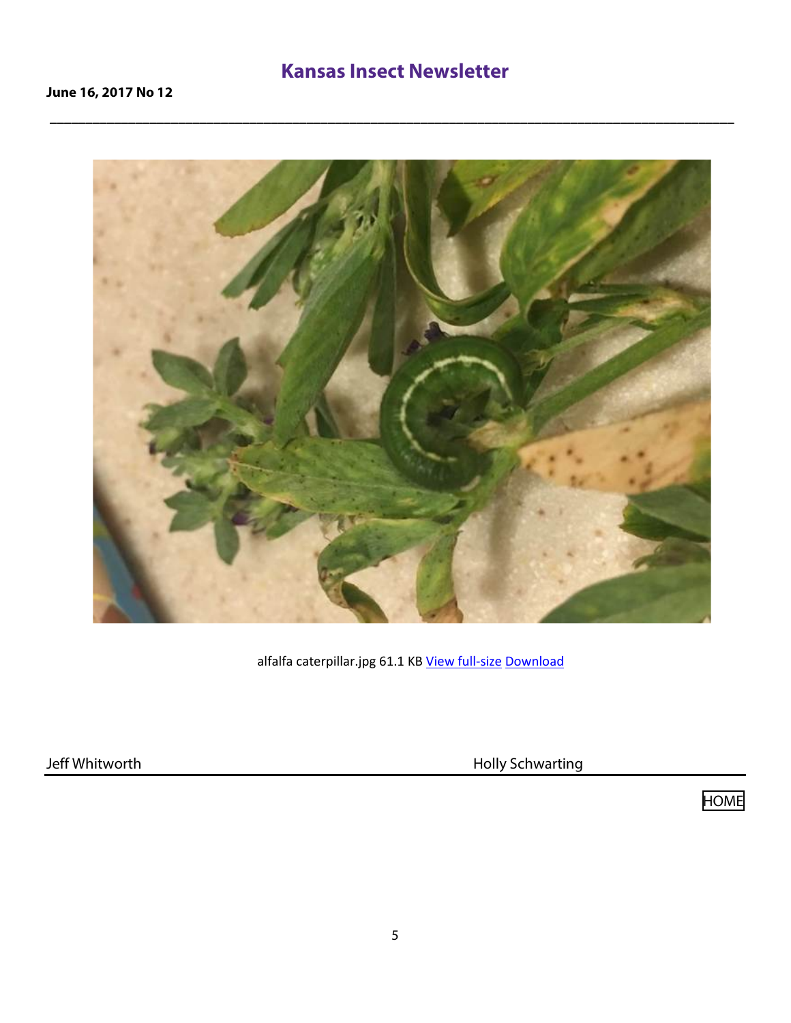**\_\_\_\_\_\_\_\_\_\_\_\_\_\_\_\_\_\_\_\_\_\_\_\_\_\_\_\_\_\_\_\_\_\_\_\_\_\_\_\_\_\_\_\_\_\_\_\_\_\_\_\_\_\_\_\_\_\_\_\_\_\_\_\_\_\_\_\_\_\_\_\_\_\_\_\_\_\_\_\_\_\_\_\_\_\_\_\_\_\_\_\_\_\_\_\_**



[a](https://3.basecamp.com/3209262/blobs/0257501ce86f57fb68d5a331f1d17e790010/download/alfalfa%20caterpillar.jpg)lfalfa caterpillar.jpg 61.1 KB [View full-size](https://3.basecamp.com/3209262/blobs/0257501ce86f57fb68d5a331f1d17e790010/download/alfalfa%20caterpillar.jpg) [Download](https://3.basecamp.com/3209262/blobs/0257501ce86f57fb68d5a331f1d17e790010/download/alfalfa%20caterpillar.jpg?attachment=true)

Jeff Whitworth **Holly Schwarting** 

[HOME](#page-0-0)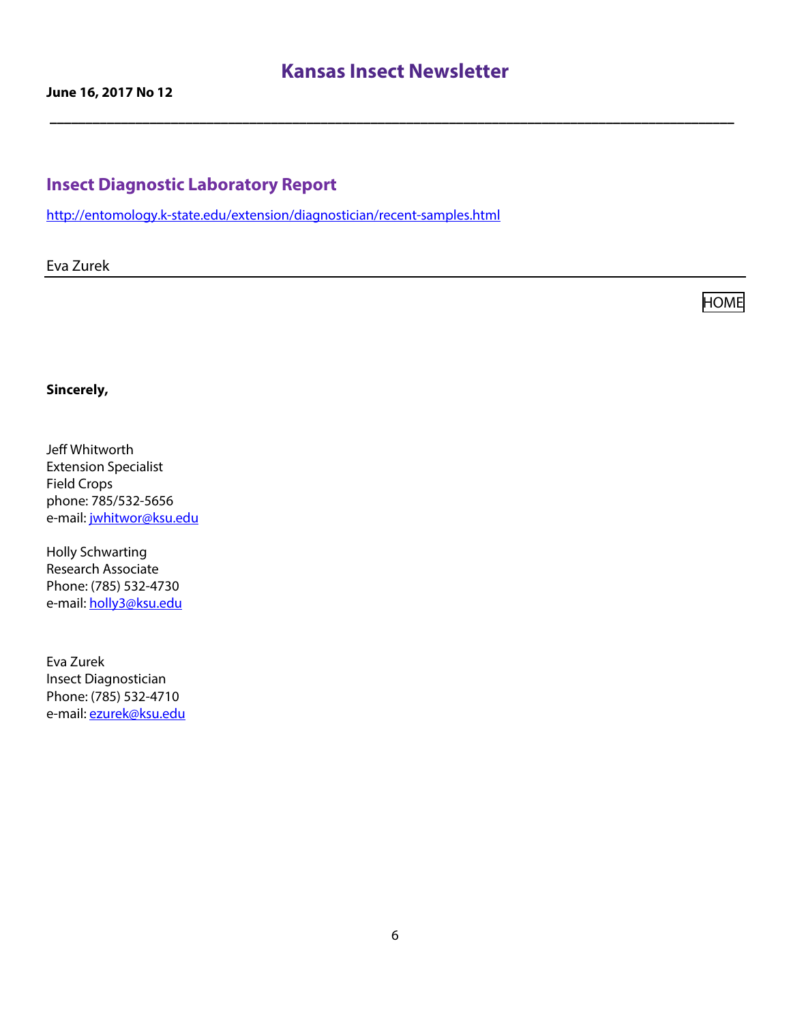<span id="page-5-0"></span>**\_\_\_\_\_\_\_\_\_\_\_\_\_\_\_\_\_\_\_\_\_\_\_\_\_\_\_\_\_\_\_\_\_\_\_\_\_\_\_\_\_\_\_\_\_\_\_\_\_\_\_\_\_\_\_\_\_\_\_\_\_\_\_\_\_\_\_\_\_\_\_\_\_\_\_\_\_\_\_\_\_\_\_\_\_\_\_\_\_\_\_\_\_\_\_\_**

#### **Insect Diagnostic Laboratory Repor[t](http://entomology.k-state.edu/extension/diagnostician/recent-samples.html)**

<http://entomology.k-state.edu/extension/diagnostician/recent-samples.html>

Eva Zurek

**[HOME](#page-0-0)** 

#### **Sincerely,**

Jeff Whitworth Extension Specialist Field Crops phone: 785/532-5656 e-mail: [jwhitwor@ksu.edu](mailto:jwhitwor@ksu.edu)

Holly Schwarting Research Associate Phone: (785) 532-4730 e-mail: [holly3@ksu.edu](mailto:holly3@ksu.edu)

Eva Zurek Insect Diagnostician Phone: (785) 532-4710 e-mail: [ezurek@ksu.edu](mailto:ezurek@ksu.edu)